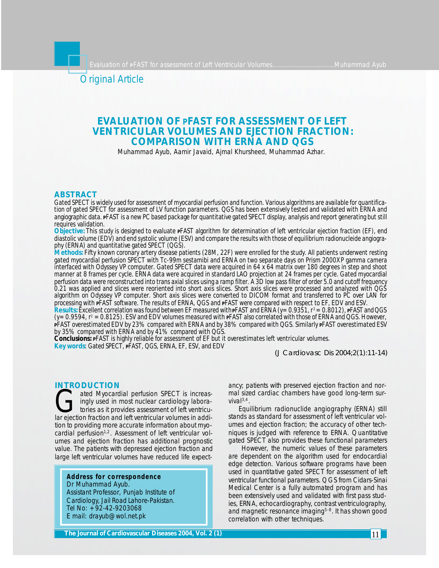Original Article

# **EVALUATION OF** *P***FAST FOR ASSESSMENT OF LEFT VENTRICULAR VOLUMES AND EJECTION FRACTION: COMPARISON WITH ERNA AND QGS**

Muhammad Ayub, Aamir Javaid, Ajmal Khursheed, Muhammad Azhar.

#### **ABSTRACT**

*Gated SPECT is widely used for assessment of myocardial perfusion and function. Various algorithms are available for quantification of gated SPECT for assessment of LV function parameters. QGS has been extensively tested and validated with ERNA and angiographic data. PFAST is a new PC based package for quantitative gated SPECT display, analysis and report generating but still requires validation.*

*Objective: This study is designed to evaluate PFAST algorithm for determination of left ventricular ejection fraction (EF), end diastolic volume (EDV) and end systolic volume (ESV) and compare the results with those of equilibrium radionucleide angiography (ERNA) and quantitative gated SPECT (QGS).*

*Methods: Fifty known coronary artery disease patients (28M, 22F) were enrolled for the study. All patients underwent resting gated myocardial perfusion SPECT with Tc-99m sestamibi and ERNA on two separate days on Prism 2000XP gamma camera interfaced with Odyssey VP computer. Gated SPECT data were acquired in 64 x 64 matrix over 180 degrees in step and shoot manner at 8 frames per cycle. ERNA data were acquired in standard LAO projection at 24 frames per cycle. Gated myocardial perfusion data were reconstructed into trans axial slices using a ramp filter. A 3D low pass filter of order 5.0 and cutoff frequency 0.21 was applied and slices were reoriented into short axis slices. Short axis slices were processed and analyzed with QGS algorithm on Odyssey VP computer. Short axis slices were converted to DICOM format and transferred to PC over LAN for processing with PFAST software. The results of ERNA, QGS and PFAST were compared with respect to EF, EDV and ESV.*

*Results: Excellent correlation was found between EF measured with PFAST and ERNA (y=0.9351, r <sup>2</sup>=0.8012), PFAST and QGS (y=0.9594, r<sup>2</sup> =0.8125). ESV and EDV volumes measured with PFAST also correlated with those of ERNA and QGS. However, <sup>P</sup>FAST overestimated EDV by 23% compared with ERNA and by 38% compared with QGS. Similarly PFAST overestimated ESV by 35% compared with ERNA and by 41% compared with QGS.*

*Conclusions: <sup>P</sup>FAST is highly reliable for assessment of EF but it overestimates left ventricular volumes. Key words: Gated SPECT, PFAST, QGS, ERNA, EF, ESV, and EDV*

*(J Cardiovasc Dis 2004;2(1):11-14)*

#### **INTRODUCTION**

ated Myocardial perfusion SPECT is increasingly used in most nuclear cardiology laboratories as it provides assessment of left ventricular ejection fraction and left ventricular volumes in addiated Myocardial perfusion SPECT is increasingly used in most nuclear cardiology laboratories as it provides assessment of left ventricution to providing more accurate information about myocardial perfusion<sup>1,2</sup>. Assessment of left ventricular volumes and ejection fraction has additional prognostic value. The patients with depressed ejection fraction and large left ventricular volumes have reduced life expect-

**Address for correspondence** Dr Muhammad Ayub. Assistant Professor, Punjab Institute of Cardiology, Jail Road Lahore-Pakistan. Tel No: +92-42-9203068 E mail: drayub@wol.net.pk

ancy; patients with preserved ejection fraction and normal sized cardiac chambers have good long-term survival $^{3,4}$ .

Equilibrium radionuclide angiography (ERNA) still stands as standard for assessment of left ventricular volumes and ejection fraction; the accuracy of other techniques is judged with reference to ERNA. Quantitative gated SPECT also provides these functional parameters

 However, the numeric values of these parameters are dependent on the algorithm used for endocardial edge detection. Various software programs have been used in quantitative gated SPECT for assessment of left ventricular functional parameters. QGS from Cidars-Sinai Medical Center is a fully automated program and has been extensively used and validated with first pass studies, ERNA, echocardiography, contrast ventriculography, and magnetic resonance imaging<sup>5-8</sup>. It has shown good correlation with other techniques.

**The Journal of Cardiovascular Diseases 2004, Vol. 2 (1)**2003 **2004, 2 (1)**2003 2004, 2 (2) **2006**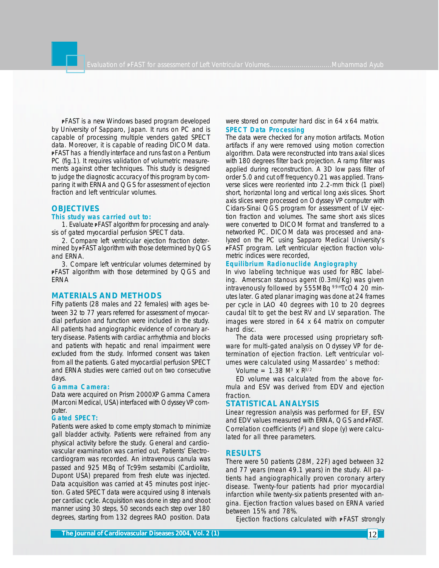**<sup>P</sup>**FAST is a new Windows based program developed by University of Sapparo, Japan. It runs on PC and is capable of processing multiple venders gated SPECT data. Moreover, it is capable of reading DICOM data. **<sup>P</sup>**FAST has a friendly interface and runs fast on a Pentium PC (fig.1). It requires validation of volumetric measurements against other techniques. This study is designed to judge the diagnostic accuracy of this program by comparing it with ERNA and QGS for assessment of ejection fraction and left ventricular volumes.

# **OBJECTIVES**

# **This study was carried out to:**

1. Evaluate **P**FAST algorithm for processing and analysis of gated myocardial perfusion SPECT data.

2. Compare left ventricular ejection fraction determined by **P**FAST algorithm with those determined by QGS and ERNA.

3. Compare left ventricular volumes determined by **<sup>P</sup>**FAST algorithm with those determined by QGS and ERNA

# **MATERIALS AND METHODS**

Fifty patients (28 males and 22 females) with ages between 32 to 77 years referred for assessment of myocardial perfusion and function were included in the study. All patients had angiographic evidence of coronary artery disease. Patients with cardiac arrhythmia and blocks and patients with hepatic and renal impairment were excluded from the study. Informed consent was taken from all the patients. Gated myocardial perfusion SPECT and ERNA studies were carried out on two consecutive days.

#### **Gamma Camera:**

Data were acquired on Prism 2000XP Gamma Camera (Marconi Medical, USA) interfaced with Odyssey VP computer.

#### **Gated SPECT:**

Patients were asked to come empty stomach to minimize gall bladder activity. Patients were refrained from any physical activity before the study. General and cardiovascular examination was carried out. Patients' Electrocardiogram was recorded. An intravenous canula was passed and 925 MBq of Tc99m sestamibi (Cardiolite, Dupont USA) prepared from fresh elute was injected. Data acquisition was carried at 45 minutes post injection. Gated SPECT data were acquired using 8 intervals per cardiac cycle. Acquisition was done in step and shoot manner using 30 steps, 50 seconds each step over 180 degrees, starting from 132 degrees RAO position. Data

## were stored on computer hard disc in 64 x 64 matrix. **SPECT Data Processing**

The data were checked for any motion artifacts. Motion artifacts if any were removed using motion correction algorithm. Data were reconstructed into trans axial slices with 180 degrees filter back projection. A ramp filter was applied during reconstruction. A 3D low pass filter of order 5.0 and cut off frequency 0.21 was applied. Transverse slices were reoriented into 2.2-mm thick (1 pixel) short, horizontal long and vertical long axis slices. Short axis slices were processed on Odyssey VP computer with Cidars-Sinai QGS program for assessment of LV ejection fraction and volumes. The same short axis slices were converted to DICOM format and transferred to a networked PC. DICOM data was processed and analyzed on the PC using Sapparo Medical University's **P**FAST program. Left ventricular ejection fraction volumetric indices were recorded,

#### **Equilibrium Radionuclide Angiography**

In vivo labeling technique was used for RBC labeling. Amerscan stanous agent (0.3ml/Kg) was given intravenously followed by 555MBq 99mTcO4 20 minutes later. Gated planar imaging was done at 24 frames per cycle in LAO 40 degrees with 10 to 20 degrees caudal tilt to get the best RV and LV separation. The images were stored in 64 x 64 matrix on computer hard disc.

The data were processed using proprietary software for multi-gated analysis on Odyssey VP for determination of ejection fraction. Left ventricular volumes were calculated using Massardeo' s method:

Volume =  $1.38$  M<sup>3</sup> x R<sup>3/2</sup>

ED volume was calculated from the above formula and ESV was derived from EDV and ejection fraction.

## **STATISTICAL ANALYSIS**

Linear regression analysis was performed for EF, ESV and EDV values measured with ERNA, QGS and **P**FAST. Correlation coefficients  $(r^2)$  and slope  $(y)$  were calculated for all three parameters.

### **RESULTS**

There were 50 patients (28M, 22F) aged between 32 and 77 years (mean 49.1 years) in the study. All patients had angiographically proven coronary artery disease. Twenty-four patients had prior myocardial infarction while twenty-six patients presented with angina. Ejection fraction values based on ERNA varied between 15% and 78%.

Ejection fractions calculated with **PFAST** strongly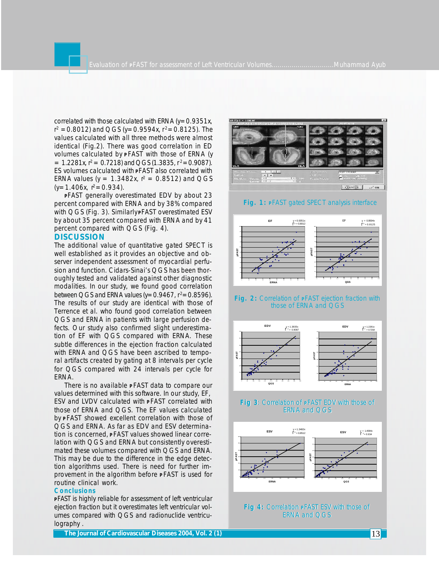correlated with those calculated with ERNA ( $y=0.9351x$ , r<sup>2</sup> =0.8012) and QGS (y=0.9594x, r<sup>2</sup>=0.8125). The values calculated with all three methods were almost identical (Fig.2). There was good correlation in ED volumes calculated by **<sup>P</sup>** FAST with those of ERNA (y  $= 1.2281x$ ,  $r^2 = 0.7218$  and QGS (1.3835,  $r^2 = 0.9087$ ). ES volumes calculated with **P**FAST also correlated with ERNA values ( $y = 1.3482x$ ,  $r^2 = 0.8512$ ) and QGS  $(y=1.406x, r^2=0.934)$ .

**<sup>P</sup>**FAST generally overestimated EDV by about 23 percent compared with ERNA and by 38% compared with QGS (Fig. 3). Similarly **P**FAST overestimated ESV by about 35 percent compared with ERNA and by 41 percent compared with QGS (Fig. 4).

# **DISCUSSION**

The additional value of quantitative gated SPECT is well established as it provides an objective and observer independent assessment of myocardial perfusion and function. Cidars-Sinai's QGS has been thoroughly tested and validated against other diagnostic modalities. In our study, we found good correlation between QGS and ERNA values ( $y=0.9467$ ,  $r^2=0.8596$ ). The results of our study are identical with those of Terrence et al. who found good correlation between QGS and ERNA in patients with large perfusion defects. Our study also confirmed slight underestimation of EF with QGS compared with ERNA. These subtle differences in the ejection fraction calculated with ERNA and QGS have been ascribed to temporal artifacts created by gating at 8 intervals per cycle for QGS compared with 24 intervals per cycle for ERNA.

There is no available **<sup>P</sup>** FAST data to compare our values determined with this software. In our study, EF, ESV and LVDV calculated with **<sup>P</sup>** FAST correlated with those of ERNA and QGS. The EF values calculated by **<sup>P</sup>** FAST showed excellent correlation with those of QGS and ERNA. As far as EDV and ESV determination is concerned, **<sup>P</sup>** FAST values showed linear correlation with QGS and ERNA but consistently overestimated these volumes compared with QGS and ERNA. This may be due to the difference in the edge detection algorithms used. There is need for further improvement in the algorithm before **<sup>P</sup>** FAST is used for routine clinical work.

#### **Conclusions**

**<sup>P</sup>** *FAST* is highly reliable for assessment of left ventricular ejection fraction but it overestimates left ventricular volumes compared with QGS and radionuclide ventriculography .



#### **Fig. 1: <sup>P</sup>**FAST gated SPECT analysis interface



#### **Fig. 2:** Correlation of **P**FAST ejection fraction with those of ERNA and QGS



## **Fig 3**: Correlation of **P**FAST EDV with those of **Fig 3**: Correlation of **P**FAST EDV with those of ERNA and QGS ERNA and QGS



**Fig 4:** Correlation **P**FAST ESV with those of **Fig 4:** Correlation **P**FAST ESV with those of ERNA and QGS ERNA and QGS